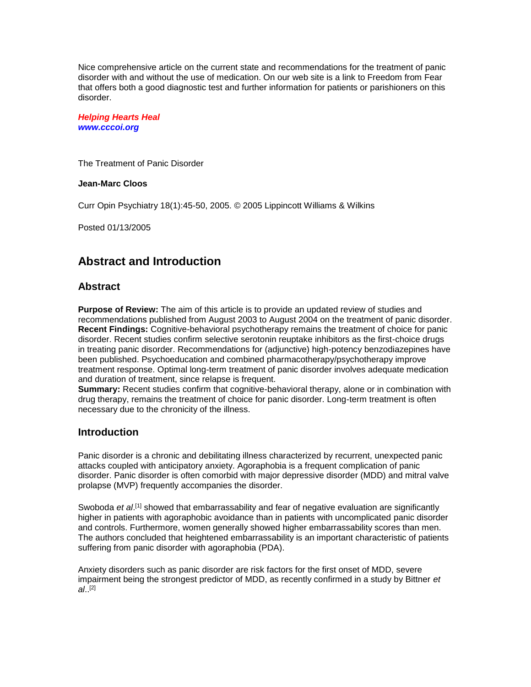Nice comprehensive article on the current state and recommendations for the treatment of panic disorder with and without the use of medication. On our web site is a link to Freedom from Fear that offers both a good diagnostic test and further information for patients or parishioners on this disorder.

*Helping Hearts Heal www.cccoi.org*

The Treatment of Panic Disorder

#### **Jean-Marc Cloos**

Curr Opin Psychiatry 18(1):45-50, 2005. © 2005 Lippincott Williams & Wilkins

Posted 01/13/2005

## **Abstract and Introduction**

#### **Abstract**

**Purpose of Review:** The aim of this article is to provide an updated review of studies and recommendations published from August 2003 to August 2004 on the treatment of panic disorder. **Recent Findings:** Cognitive-behavioral psychotherapy remains the treatment of choice for panic disorder. Recent studies confirm selective serotonin reuptake inhibitors as the first-choice drugs in treating panic disorder. Recommendations for (adjunctive) high-potency benzodiazepines have been published. Psychoeducation and combined pharmacotherapy/psychotherapy improve treatment response. Optimal long-term treatment of panic disorder involves adequate medication and duration of treatment, since relapse is frequent.

**Summary:** Recent studies confirm that cognitive-behavioral therapy, alone or in combination with drug therapy, remains the treatment of choice for panic disorder. Long-term treatment is often necessary due to the chronicity of the illness.

#### **Introduction**

Panic disorder is a chronic and debilitating illness characterized by recurrent, unexpected panic attacks coupled with anticipatory anxiety. Agoraphobia is a frequent complication of panic disorder. Panic disorder is often comorbid with major depressive disorder (MDD) and mitral valve prolapse (MVP) frequently accompanies the disorder.

Swoboda *et al.*<sup>[1]</sup> showed that embarrassability and fear of negative evaluation are significantly higher in patients with agoraphobic avoidance than in patients with uncomplicated panic disorder and controls. Furthermore, women generally showed higher embarrassability scores than men. The authors concluded that heightened embarrassability is an important characteristic of patients suffering from panic disorder with agoraphobia (PDA).

Anxiety disorders such as panic disorder are risk factors for the first onset of MDD, severe impairment being the strongest predictor of MDD, as recently confirmed in a study by Bittner *et al*.. [2]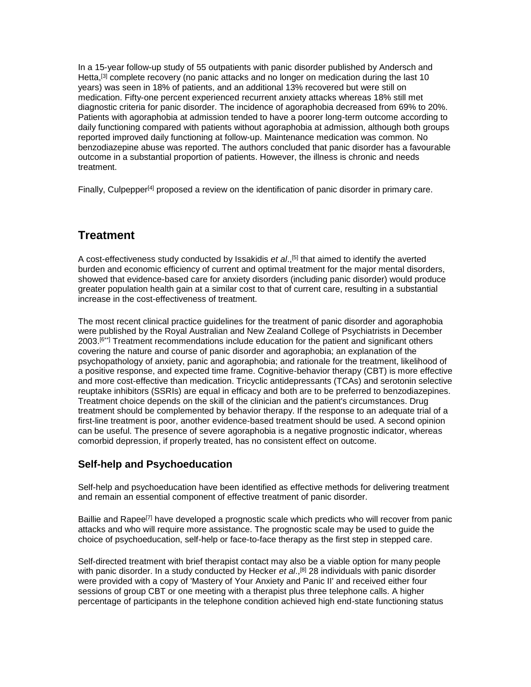In a 15-year follow-up study of 55 outpatients with panic disorder published by Andersch and Hetta,<sup>[3]</sup> complete recovery (no panic attacks and no longer on medication during the last 10 years) was seen in 18% of patients, and an additional 13% recovered but were still on medication. Fifty-one percent experienced recurrent anxiety attacks whereas 18% still met diagnostic criteria for panic disorder. The incidence of agoraphobia decreased from 69% to 20%. Patients with agoraphobia at admission tended to have a poorer long-term outcome according to daily functioning compared with patients without agoraphobia at admission, although both groups reported improved daily functioning at follow-up. Maintenance medication was common. No benzodiazepine abuse was reported. The authors concluded that panic disorder has a favourable outcome in a substantial proportion of patients. However, the illness is chronic and needs treatment.

Finally, Culpepper<sup>[4]</sup> proposed a review on the identification of panic disorder in primary care.

# **Treatment**

A cost-effectiveness study conducted by Issakidis *et al*., [5] that aimed to identify the averted burden and economic efficiency of current and optimal treatment for the major mental disorders, showed that evidence-based care for anxiety disorders (including panic disorder) would produce greater population health gain at a similar cost to that of current care, resulting in a substantial increase in the cost-effectiveness of treatment.

The most recent clinical practice guidelines for the treatment of panic disorder and agoraphobia were published by the Royal Australian and New Zealand College of Psychiatrists in December 2003.<sup>[6\*\*]</sup> Treatment recommendations include education for the patient and significant others covering the nature and course of panic disorder and agoraphobia; an explanation of the psychopathology of anxiety, panic and agoraphobia; and rationale for the treatment, likelihood of a positive response, and expected time frame. Cognitive-behavior therapy (CBT) is more effective and more cost-effective than medication. Tricyclic antidepressants (TCAs) and serotonin selective reuptake inhibitors (SSRIs) are equal in efficacy and both are to be preferred to benzodiazepines. Treatment choice depends on the skill of the clinician and the patient's circumstances. Drug treatment should be complemented by behavior therapy. If the response to an adequate trial of a first-line treatment is poor, another evidence-based treatment should be used. A second opinion can be useful. The presence of severe agoraphobia is a negative prognostic indicator, whereas comorbid depression, if properly treated, has no consistent effect on outcome.

### **Self-help and Psychoeducation**

Self-help and psychoeducation have been identified as effective methods for delivering treatment and remain an essential component of effective treatment of panic disorder.

Baillie and Rapee<sup>[7]</sup> have developed a prognostic scale which predicts who will recover from panic attacks and who will require more assistance. The prognostic scale may be used to guide the choice of psychoeducation, self-help or face-to-face therapy as the first step in stepped care.

Self-directed treatment with brief therapist contact may also be a viable option for many people with panic disorder. In a study conducted by Hecker *et al*., [8] 28 individuals with panic disorder were provided with a copy of 'Mastery of Your Anxiety and Panic II' and received either four sessions of group CBT or one meeting with a therapist plus three telephone calls. A higher percentage of participants in the telephone condition achieved high end-state functioning status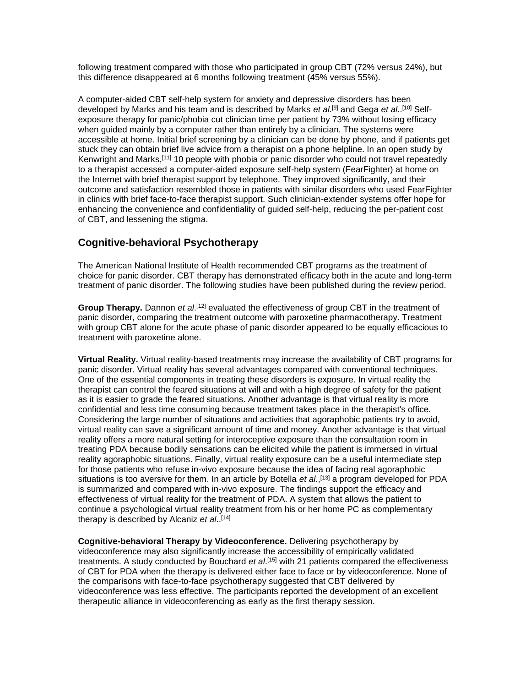following treatment compared with those who participated in group CBT (72% versus 24%), but this difference disappeared at 6 months following treatment (45% versus 55%).

A computer-aided CBT self-help system for anxiety and depressive disorders has been developed by Marks and his team and is described by Marks *et al*. [9] and Gega *et al*.. [10] Selfexposure therapy for panic/phobia cut clinician time per patient by 73% without losing efficacy when guided mainly by a computer rather than entirely by a clinician. The systems were accessible at home. Initial brief screening by a clinician can be done by phone, and if patients get stuck they can obtain brief live advice from a therapist on a phone helpline. In an open study by Kenwright and Marks,[11] 10 people with phobia or panic disorder who could not travel repeatedly to a therapist accessed a computer-aided exposure self-help system (FearFighter) at home on the Internet with brief therapist support by telephone. They improved significantly, and their outcome and satisfaction resembled those in patients with similar disorders who used FearFighter in clinics with brief face-to-face therapist support. Such clinician-extender systems offer hope for enhancing the convenience and confidentiality of guided self-help, reducing the per-patient cost of CBT, and lessening the stigma.

## **Cognitive-behavioral Psychotherapy**

The American National Institute of Health recommended CBT programs as the treatment of choice for panic disorder. CBT therapy has demonstrated efficacy both in the acute and long-term treatment of panic disorder. The following studies have been published during the review period.

Group Therapy. Dannon *et al.*<sup>[12]</sup> evaluated the effectiveness of group CBT in the treatment of panic disorder, comparing the treatment outcome with paroxetine pharmacotherapy. Treatment with group CBT alone for the acute phase of panic disorder appeared to be equally efficacious to treatment with paroxetine alone.

**Virtual Reality.** Virtual reality-based treatments may increase the availability of CBT programs for panic disorder. Virtual reality has several advantages compared with conventional techniques. One of the essential components in treating these disorders is exposure. In virtual reality the therapist can control the feared situations at will and with a high degree of safety for the patient as it is easier to grade the feared situations. Another advantage is that virtual reality is more confidential and less time consuming because treatment takes place in the therapist's office. Considering the large number of situations and activities that agoraphobic patients try to avoid, virtual reality can save a significant amount of time and money. Another advantage is that virtual reality offers a more natural setting for interoceptive exposure than the consultation room in treating PDA because bodily sensations can be elicited while the patient is immersed in virtual reality agoraphobic situations. Finally, virtual reality exposure can be a useful intermediate step for those patients who refuse in-vivo exposure because the idea of facing real agoraphobic situations is too aversive for them. In an article by Botella *et al*., [13] a program developed for PDA is summarized and compared with in-vivo exposure. The findings support the efficacy and effectiveness of virtual reality for the treatment of PDA. A system that allows the patient to continue a psychological virtual reality treatment from his or her home PC as complementary therapy is described by Alcaniz *et al*.. [14]

**Cognitive-behavioral Therapy by Videoconference.** Delivering psychotherapy by videoconference may also significantly increase the accessibility of empirically validated treatments. A study conducted by Bouchard *et al*. [15] with 21 patients compared the effectiveness of CBT for PDA when the therapy is delivered either face to face or by videoconference. None of the comparisons with face-to-face psychotherapy suggested that CBT delivered by videoconference was less effective. The participants reported the development of an excellent therapeutic alliance in videoconferencing as early as the first therapy session.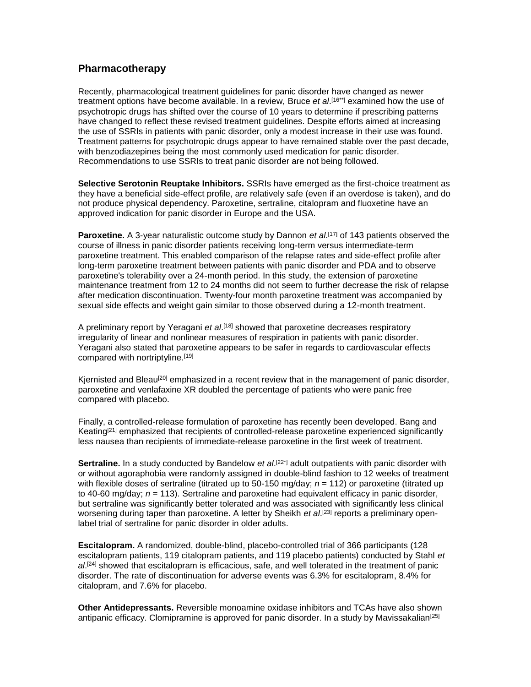### **Pharmacotherapy**

Recently, pharmacological treatment guidelines for panic disorder have changed as newer treatment options have become available. In a review, Bruce *et al*. [16\*\*] examined how the use of psychotropic drugs has shifted over the course of 10 years to determine if prescribing patterns have changed to reflect these revised treatment guidelines. Despite efforts aimed at increasing the use of SSRIs in patients with panic disorder, only a modest increase in their use was found. Treatment patterns for psychotropic drugs appear to have remained stable over the past decade, with benzodiazepines being the most commonly used medication for panic disorder. Recommendations to use SSRIs to treat panic disorder are not being followed.

**Selective Serotonin Reuptake Inhibitors.** SSRIs have emerged as the first-choice treatment as they have a beneficial side-effect profile, are relatively safe (even if an overdose is taken), and do not produce physical dependency. Paroxetine, sertraline, citalopram and fluoxetine have an approved indication for panic disorder in Europe and the USA.

**Paroxetine.** A 3-year naturalistic outcome study by Dannon *et al*. [17] of 143 patients observed the course of illness in panic disorder patients receiving long-term versus intermediate-term paroxetine treatment. This enabled comparison of the relapse rates and side-effect profile after long-term paroxetine treatment between patients with panic disorder and PDA and to observe paroxetine's tolerability over a 24-month period. In this study, the extension of paroxetine maintenance treatment from 12 to 24 months did not seem to further decrease the risk of relapse after medication discontinuation. Twenty-four month paroxetine treatment was accompanied by sexual side effects and weight gain similar to those observed during a 12-month treatment.

A preliminary report by Yeragani *et al*. [18] showed that paroxetine decreases respiratory irregularity of linear and nonlinear measures of respiration in patients with panic disorder. Yeragani also stated that paroxetine appears to be safer in regards to cardiovascular effects compared with nortriptyline.<sup>[19]</sup>

Kjernisted and Bleau<sup>[20]</sup> emphasized in a recent review that in the management of panic disorder, paroxetine and venlafaxine XR doubled the percentage of patients who were panic free compared with placebo.

Finally, a controlled-release formulation of paroxetine has recently been developed. Bang and Keating<sup>[21]</sup> emphasized that recipients of controlled-release paroxetine experienced significantly less nausea than recipients of immediate-release paroxetine in the first week of treatment.

**Sertraline.** In a study conducted by Bandelow *et al*.<sup>[22\*]</sup> adult outpatients with panic disorder with or without agoraphobia were randomly assigned in double-blind fashion to 12 weeks of treatment with flexible doses of sertraline (titrated up to 50-150 mg/day;  $n = 112$ ) or paroxetine (titrated up to 40-60 mg/day; *n* = 113). Sertraline and paroxetine had equivalent efficacy in panic disorder, but sertraline was significantly better tolerated and was associated with significantly less clinical worsening during taper than paroxetine. A letter by Sheikh *et al*. [23] reports a preliminary openlabel trial of sertraline for panic disorder in older adults.

**Escitalopram.** A randomized, double-blind, placebo-controlled trial of 366 participants (128 escitalopram patients, 119 citalopram patients, and 119 placebo patients) conducted by Stahl *et al*. [24] showed that escitalopram is efficacious, safe, and well tolerated in the treatment of panic disorder. The rate of discontinuation for adverse events was 6.3% for escitalopram, 8.4% for citalopram, and 7.6% for placebo.

**Other Antidepressants.** Reversible monoamine oxidase inhibitors and TCAs have also shown antipanic efficacy. Clomipramine is approved for panic disorder. In a study by Mavissakalian<sup>[25]</sup>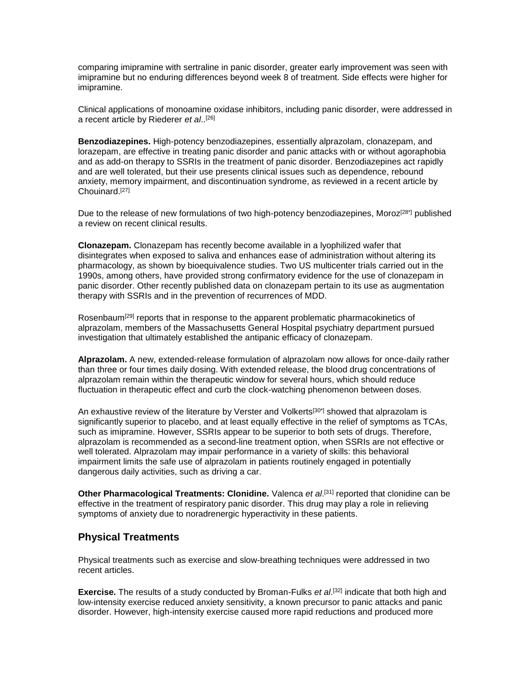comparing imipramine with sertraline in panic disorder, greater early improvement was seen with imipramine but no enduring differences beyond week 8 of treatment. Side effects were higher for imipramine.

Clinical applications of monoamine oxidase inhibitors, including panic disorder, were addressed in a recent article by Riederer *et al*.. [26]

**Benzodiazepines.** High-potency benzodiazepines, essentially alprazolam, clonazepam, and lorazepam, are effective in treating panic disorder and panic attacks with or without agoraphobia and as add-on therapy to SSRIs in the treatment of panic disorder. Benzodiazepines act rapidly and are well tolerated, but their use presents clinical issues such as dependence, rebound anxiety, memory impairment, and discontinuation syndrome, as reviewed in a recent article by Chouinard.[27]

Due to the release of new formulations of two high-potency benzodiazepines, Moroz<sup>[28\*]</sup> published a review on recent clinical results.

**Clonazepam.** Clonazepam has recently become available in a lyophilized wafer that disintegrates when exposed to saliva and enhances ease of administration without altering its pharmacology, as shown by bioequivalence studies. Two US multicenter trials carried out in the 1990s, among others, have provided strong confirmatory evidence for the use of clonazepam in panic disorder. Other recently published data on clonazepam pertain to its use as augmentation therapy with SSRIs and in the prevention of recurrences of MDD.

Rosenbaum<sup>[29]</sup> reports that in response to the apparent problematic pharmacokinetics of alprazolam, members of the Massachusetts General Hospital psychiatry department pursued investigation that ultimately established the antipanic efficacy of clonazepam.

**Alprazolam.** A new, extended-release formulation of alprazolam now allows for once-daily rather than three or four times daily dosing. With extended release, the blood drug concentrations of alprazolam remain within the therapeutic window for several hours, which should reduce fluctuation in therapeutic effect and curb the clock-watching phenomenon between doses.

An exhaustive review of the literature by Verster and Volkerts<sup>[30\*]</sup> showed that alprazolam is significantly superior to placebo, and at least equally effective in the relief of symptoms as TCAs, such as imipramine. However, SSRIs appear to be superior to both sets of drugs. Therefore, alprazolam is recommended as a second-line treatment option, when SSRIs are not effective or well tolerated. Alprazolam may impair performance in a variety of skills: this behavioral impairment limits the safe use of alprazolam in patients routinely engaged in potentially dangerous daily activities, such as driving a car.

**Other Pharmacological Treatments: Clonidine.** Valenca *et al*. [31] reported that clonidine can be effective in the treatment of respiratory panic disorder. This drug may play a role in relieving symptoms of anxiety due to noradrenergic hyperactivity in these patients.

#### **Physical Treatments**

Physical treatments such as exercise and slow-breathing techniques were addressed in two recent articles.

**Exercise.** The results of a study conducted by Broman-Fulks *et al*. [32] indicate that both high and low-intensity exercise reduced anxiety sensitivity, a known precursor to panic attacks and panic disorder. However, high-intensity exercise caused more rapid reductions and produced more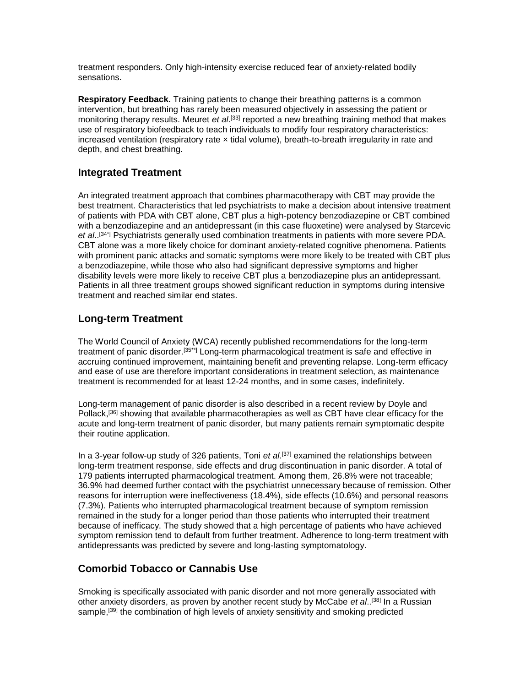treatment responders. Only high-intensity exercise reduced fear of anxiety-related bodily sensations.

**Respiratory Feedback.** Training patients to change their breathing patterns is a common intervention, but breathing has rarely been measured objectively in assessing the patient or monitoring therapy results. Meuret *et al*. [33] reported a new breathing training method that makes use of respiratory biofeedback to teach individuals to modify four respiratory characteristics: increased ventilation (respiratory rate  $\times$  tidal volume), breath-to-breath irregularity in rate and depth, and chest breathing.

### **Integrated Treatment**

An integrated treatment approach that combines pharmacotherapy with CBT may provide the best treatment. Characteristics that led psychiatrists to make a decision about intensive treatment of patients with PDA with CBT alone, CBT plus a high-potency benzodiazepine or CBT combined with a benzodiazepine and an antidepressant (in this case fluoxetine) were analysed by Starcevic *et al*.. [34\*] Psychiatrists generally used combination treatments in patients with more severe PDA. CBT alone was a more likely choice for dominant anxiety-related cognitive phenomena. Patients with prominent panic attacks and somatic symptoms were more likely to be treated with CBT plus a benzodiazepine, while those who also had significant depressive symptoms and higher disability levels were more likely to receive CBT plus a benzodiazepine plus an antidepressant. Patients in all three treatment groups showed significant reduction in symptoms during intensive treatment and reached similar end states.

### **Long-term Treatment**

The World Council of Anxiety (WCA) recently published recommendations for the long-term treatment of panic disorder.[35\*\*] Long-term pharmacological treatment is safe and effective in accruing continued improvement, maintaining benefit and preventing relapse. Long-term efficacy and ease of use are therefore important considerations in treatment selection, as maintenance treatment is recommended for at least 12-24 months, and in some cases, indefinitely.

Long-term management of panic disorder is also described in a recent review by Doyle and Pollack,<sup>[36]</sup> showing that available pharmacotherapies as well as CBT have clear efficacy for the acute and long-term treatment of panic disorder, but many patients remain symptomatic despite their routine application.

In a 3-year follow-up study of 326 patients, Toni *et al*. [37] examined the relationships between long-term treatment response, side effects and drug discontinuation in panic disorder. A total of 179 patients interrupted pharmacological treatment. Among them, 26.8% were not traceable; 36.9% had deemed further contact with the psychiatrist unnecessary because of remission. Other reasons for interruption were ineffectiveness (18.4%), side effects (10.6%) and personal reasons (7.3%). Patients who interrupted pharmacological treatment because of symptom remission remained in the study for a longer period than those patients who interrupted their treatment because of inefficacy. The study showed that a high percentage of patients who have achieved symptom remission tend to default from further treatment. Adherence to long-term treatment with antidepressants was predicted by severe and long-lasting symptomatology.

## **Comorbid Tobacco or Cannabis Use**

Smoking is specifically associated with panic disorder and not more generally associated with other anxiety disorders, as proven by another recent study by McCabe *et al*.. [38] In a Russian sample,<sup>[39]</sup> the combination of high levels of anxiety sensitivity and smoking predicted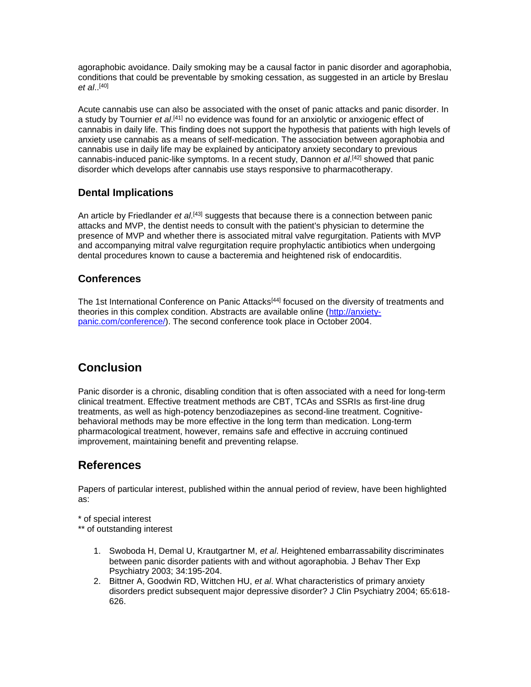agoraphobic avoidance. Daily smoking may be a causal factor in panic disorder and agoraphobia, conditions that could be preventable by smoking cessation, as suggested in an article by Breslau *et al*.. [40]

Acute cannabis use can also be associated with the onset of panic attacks and panic disorder. In a study by Tournier *et al*.<sup>[41]</sup> no evidence was found for an anxiolytic or anxiogenic effect of cannabis in daily life. This finding does not support the hypothesis that patients with high levels of anxiety use cannabis as a means of self-medication. The association between agoraphobia and cannabis use in daily life may be explained by anticipatory anxiety secondary to previous cannabis-induced panic-like symptoms. In a recent study, Dannon *et al*. [42] showed that panic disorder which develops after cannabis use stays responsive to pharmacotherapy.

## **Dental Implications**

An article by Friedlander *et al.*<sup>[43]</sup> suggests that because there is a connection between panic attacks and MVP, the dentist needs to consult with the patient's physician to determine the presence of MVP and whether there is associated mitral valve regurgitation. Patients with MVP and accompanying mitral valve regurgitation require prophylactic antibiotics when undergoing dental procedures known to cause a bacteremia and heightened risk of endocarditis.

### **Conferences**

The 1st International Conference on Panic Attacks<sup>[44]</sup> focused on the diversity of treatments and theories in this complex condition. Abstracts are available online [\(http://anxiety](http://anxiety-panic.com/conference/)[panic.com/conference/\)](http://anxiety-panic.com/conference/). The second conference took place in October 2004.

# **Conclusion**

Panic disorder is a chronic, disabling condition that is often associated with a need for long-term clinical treatment. Effective treatment methods are CBT, TCAs and SSRIs as first-line drug treatments, as well as high-potency benzodiazepines as second-line treatment. Cognitivebehavioral methods may be more effective in the long term than medication. Long-term pharmacological treatment, however, remains safe and effective in accruing continued improvement, maintaining benefit and preventing relapse.

## **References**

Papers of particular interest, published within the annual period of review, have been highlighted as:

\* of special interest

\*\* of outstanding interest

- 1. Swoboda H, Demal U, Krautgartner M, *et al*. Heightened embarrassability discriminates between panic disorder patients with and without agoraphobia. J Behav Ther Exp Psychiatry 2003; 34:195-204.
- 2. Bittner A, Goodwin RD, Wittchen HU, *et al*. What characteristics of primary anxiety disorders predict subsequent major depressive disorder? J Clin Psychiatry 2004; 65:618- 626.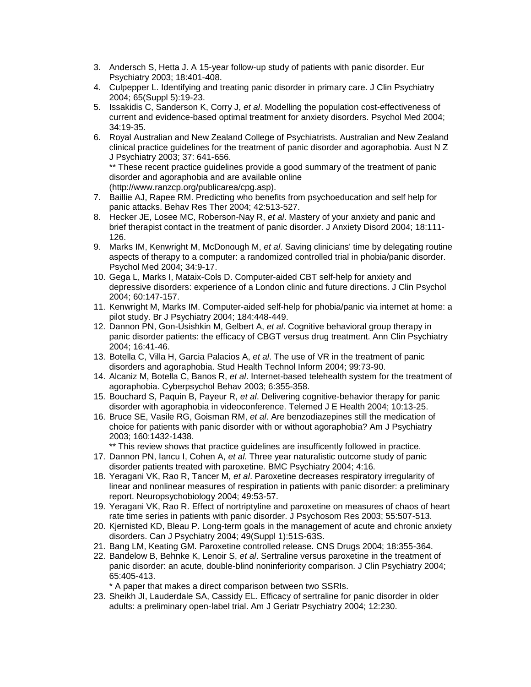- 3. Andersch S, Hetta J. A 15-year follow-up study of patients with panic disorder. Eur Psychiatry 2003; 18:401-408.
- 4. Culpepper L. Identifying and treating panic disorder in primary care. J Clin Psychiatry 2004; 65(Suppl 5):19-23.
- 5. Issakidis C, Sanderson K, Corry J, *et al*. Modelling the population cost-effectiveness of current and evidence-based optimal treatment for anxiety disorders. Psychol Med 2004; 34:19-35.
- 6. Royal Australian and New Zealand College of Psychiatrists. Australian and New Zealand clinical practice guidelines for the treatment of panic disorder and agoraphobia. Aust N Z J Psychiatry 2003; 37: 641-656.

\*\* These recent practice guidelines provide a good summary of the treatment of panic disorder and agoraphobia and are available online (http://www.ranzcp.org/publicarea/cpg.asp).

- 7. Baillie AJ, Rapee RM. Predicting who benefits from psychoeducation and self help for panic attacks. Behav Res Ther 2004; 42:513-527.
- 8. Hecker JE, Losee MC, Roberson-Nay R, *et al*. Mastery of your anxiety and panic and brief therapist contact in the treatment of panic disorder. J Anxiety Disord 2004; 18:111- 126.
- 9. Marks IM, Kenwright M, McDonough M, *et al*. Saving clinicians' time by delegating routine aspects of therapy to a computer: a randomized controlled trial in phobia/panic disorder. Psychol Med 2004; 34:9-17.
- 10. Gega L, Marks I, Mataix-Cols D. Computer-aided CBT self-help for anxiety and depressive disorders: experience of a London clinic and future directions. J Clin Psychol 2004; 60:147-157.
- 11. Kenwright M, Marks IM. Computer-aided self-help for phobia/panic via internet at home: a pilot study. Br J Psychiatry 2004; 184:448-449.
- 12. Dannon PN, Gon-Usishkin M, Gelbert A, *et al*. Cognitive behavioral group therapy in panic disorder patients: the efficacy of CBGT versus drug treatment. Ann Clin Psychiatry 2004; 16:41-46.
- 13. Botella C, Villa H, Garcia Palacios A, *et al*. The use of VR in the treatment of panic disorders and agoraphobia. Stud Health Technol Inform 2004; 99:73-90.
- 14. Alcaniz M, Botella C, Banos R, *et al*. Internet-based telehealth system for the treatment of agoraphobia. Cyberpsychol Behav 2003; 6:355-358.
- 15. Bouchard S, Paquin B, Payeur R, *et al*. Delivering cognitive-behavior therapy for panic disorder with agoraphobia in videoconference. Telemed J E Health 2004; 10:13-25.
- 16. Bruce SE, Vasile RG, Goisman RM, *et al*. Are benzodiazepines still the medication of choice for patients with panic disorder with or without agoraphobia? Am J Psychiatry 2003; 160:1432-1438.
	- \*\* This review shows that practice guidelines are insufficently followed in practice.
- 17. Dannon PN, Iancu I, Cohen A, *et al*. Three year naturalistic outcome study of panic disorder patients treated with paroxetine. BMC Psychiatry 2004; 4:16.
- 18. Yeragani VK, Rao R, Tancer M, *et al*. Paroxetine decreases respiratory irregularity of linear and nonlinear measures of respiration in patients with panic disorder: a preliminary report. Neuropsychobiology 2004; 49:53-57.
- 19. Yeragani VK, Rao R. Effect of nortriptyline and paroxetine on measures of chaos of heart rate time series in patients with panic disorder. J Psychosom Res 2003; 55:507-513.
- 20. Kjernisted KD, Bleau P. Long-term goals in the management of acute and chronic anxiety disorders. Can J Psychiatry 2004; 49(Suppl 1):51S-63S.
- 21. Bang LM, Keating GM. Paroxetine controlled release. CNS Drugs 2004; 18:355-364.
- 22. Bandelow B, Behnke K, Lenoir S, *et al*. Sertraline versus paroxetine in the treatment of panic disorder: an acute, double-blind noninferiority comparison. J Clin Psychiatry 2004; 65:405-413.

\* A paper that makes a direct comparison between two SSRIs.

23. Sheikh JI, Lauderdale SA, Cassidy EL. Efficacy of sertraline for panic disorder in older adults: a preliminary open-label trial. Am J Geriatr Psychiatry 2004; 12:230.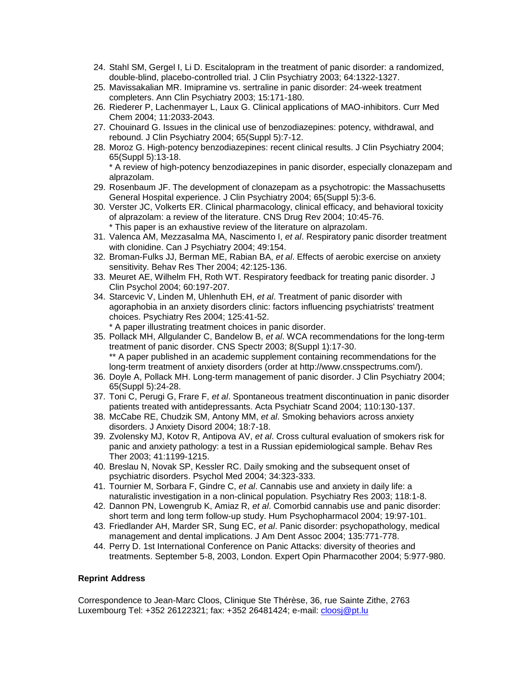- 24. Stahl SM, Gergel I, Li D. Escitalopram in the treatment of panic disorder: a randomized, double-blind, placebo-controlled trial. J Clin Psychiatry 2003; 64:1322-1327.
- 25. Mavissakalian MR. Imipramine vs. sertraline in panic disorder: 24-week treatment completers. Ann Clin Psychiatry 2003; 15:171-180.
- 26. Riederer P, Lachenmayer L, Laux G. Clinical applications of MAO-inhibitors. Curr Med Chem 2004; 11:2033-2043.
- 27. Chouinard G. Issues in the clinical use of benzodiazepines: potency, withdrawal, and rebound. J Clin Psychiatry 2004; 65(Suppl 5):7-12.
- 28. Moroz G. High-potency benzodiazepines: recent clinical results. J Clin Psychiatry 2004; 65(Suppl 5):13-18. \* A review of high-potency benzodiazepines in panic disorder, especially clonazepam and alprazolam.
- 29. Rosenbaum JF. The development of clonazepam as a psychotropic: the Massachusetts General Hospital experience. J Clin Psychiatry 2004; 65(Suppl 5):3-6.
- 30. Verster JC, Volkerts ER. Clinical pharmacology, clinical efficacy, and behavioral toxicity of alprazolam: a review of the literature. CNS Drug Rev 2004; 10:45-76. \* This paper is an exhaustive review of the literature on alprazolam.
- 31. Valenca AM, Mezzasalma MA, Nascimento I, *et al*. Respiratory panic disorder treatment with clonidine. Can J Psychiatry 2004; 49:154.
- 32. Broman-Fulks JJ, Berman ME, Rabian BA, *et al*. Effects of aerobic exercise on anxiety sensitivity. Behav Res Ther 2004; 42:125-136.
- 33. Meuret AE, Wilhelm FH, Roth WT. Respiratory feedback for treating panic disorder. J Clin Psychol 2004; 60:197-207.
- 34. Starcevic V, Linden M, Uhlenhuth EH, *et al*. Treatment of panic disorder with agoraphobia in an anxiety disorders clinic: factors influencing psychiatrists' treatment choices. Psychiatry Res 2004; 125:41-52. \* A paper illustrating treatment choices in panic disorder.
- 35. Pollack MH, Allgulander C, Bandelow B, *et al*. WCA recommendations for the long-term treatment of panic disorder. CNS Spectr 2003; 8(Suppl 1):17-30. \*\* A paper published in an academic supplement containing recommendations for the long-term treatment of anxiety disorders (order at http://www.cnsspectrums.com/).
- 36. Doyle A, Pollack MH. Long-term management of panic disorder. J Clin Psychiatry 2004; 65(Suppl 5):24-28.
- 37. Toni C, Perugi G, Frare F, *et al*. Spontaneous treatment discontinuation in panic disorder patients treated with antidepressants. Acta Psychiatr Scand 2004; 110:130-137.
- 38. McCabe RE, Chudzik SM, Antony MM, *et al*. Smoking behaviors across anxiety disorders. J Anxiety Disord 2004; 18:7-18.
- 39. Zvolensky MJ, Kotov R, Antipova AV, *et al*. Cross cultural evaluation of smokers risk for panic and anxiety pathology: a test in a Russian epidemiological sample. Behav Res Ther 2003; 41:1199-1215.
- 40. Breslau N, Novak SP, Kessler RC. Daily smoking and the subsequent onset of psychiatric disorders. Psychol Med 2004; 34:323-333.
- 41. Tournier M, Sorbara F, Gindre C, *et al*. Cannabis use and anxiety in daily life: a naturalistic investigation in a non-clinical population. Psychiatry Res 2003; 118:1-8.
- 42. Dannon PN, Lowengrub K, Amiaz R, *et al*. Comorbid cannabis use and panic disorder: short term and long term follow-up study. Hum Psychopharmacol 2004; 19:97-101.
- 43. Friedlander AH, Marder SR, Sung EC, *et al*. Panic disorder: psychopathology, medical management and dental implications. J Am Dent Assoc 2004; 135:771-778.
- 44. Perry D. 1st International Conference on Panic Attacks: diversity of theories and treatments. September 5-8, 2003, London. Expert Opin Pharmacother 2004; 5:977-980.

#### **Reprint Address**

Correspondence to Jean-Marc Cloos, Clinique Ste Thérèse, 36, rue Sainte Zithe, 2763 Luxembourg Tel: +352 26122321; fax: +352 26481424; e-mail: *cloosj@pt.lu*